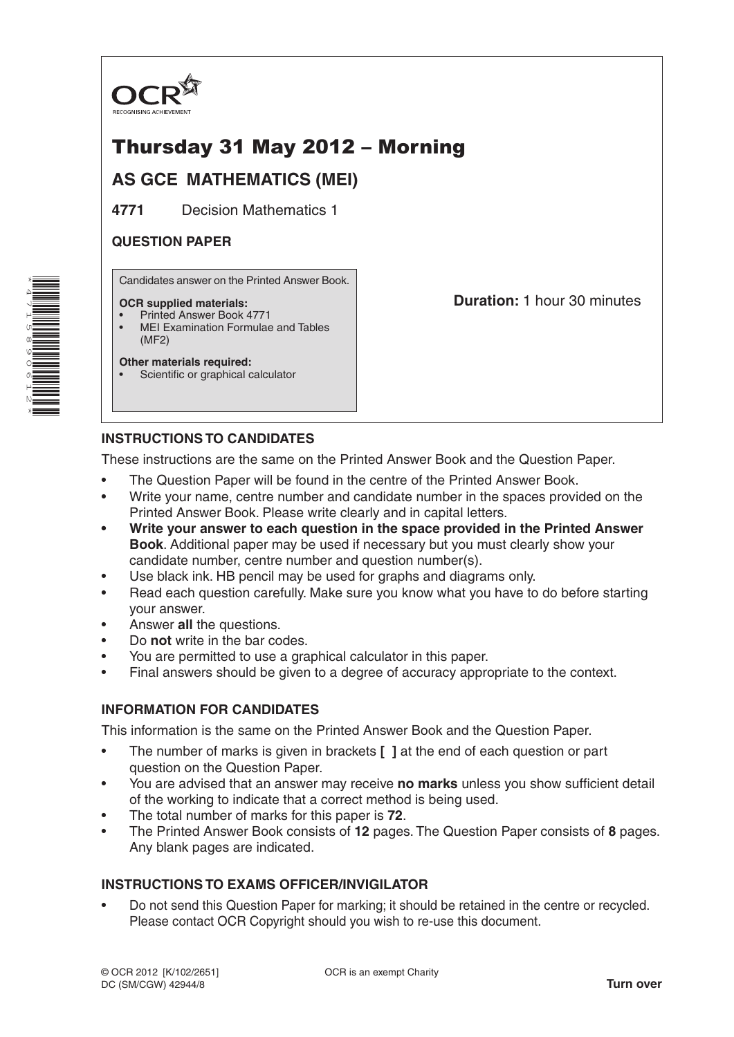

# Thursday 31 May 2012 – Morning

## **AS GCE MATHEMATICS (MEI)**

**4771** Decision Mathematics 1

## **QUESTION PAPER**

Candidates answer on the Printed Answer Book.

#### **OCR supplied materials:**

- Printed Answer Book 4771
- MEI Examination Formulae and Tables (MF2)

#### **Other materials required:**

Scientific or graphical calculator

**Duration:** 1 hour 30 minutes

## **INSTRUCTIONS TO CANDIDATES**

These instructions are the same on the Printed Answer Book and the Question Paper.

- The Question Paper will be found in the centre of the Printed Answer Book.
- Write your name, centre number and candidate number in the spaces provided on the Printed Answer Book. Please write clearly and in capital letters.
- **• Write your answer to each question in the space provided in the Printed Answer Book**. Additional paper may be used if necessary but you must clearly show your candidate number, centre number and question number(s).
- Use black ink. HB pencil may be used for graphs and diagrams only.
- Read each question carefully. Make sure you know what you have to do before starting your answer.
- Answer **all** the questions.
- Do **not** write in the bar codes.
- You are permitted to use a graphical calculator in this paper.
- Final answers should be given to a degree of accuracy appropriate to the context.

## **INFORMATION FOR CANDIDATES**

This information is the same on the Printed Answer Book and the Question Paper.

- The number of marks is given in brackets **[ ]** at the end of each question or part question on the Question Paper.
- You are advised that an answer may receive **no marks** unless you show sufficient detail of the working to indicate that a correct method is being used.
- The total number of marks for this paper is **72**.
- The Printed Answer Book consists of **12** pages. The Question Paper consists of **8** pages. Any blank pages are indicated.

## **INSTRUCTIONS TO EXAMS OFFICER/INVIGILATOR**

• Do not send this Question Paper for marking; it should be retained in the centre or recycled. Please contact OCR Copyright should you wish to re-use this document.

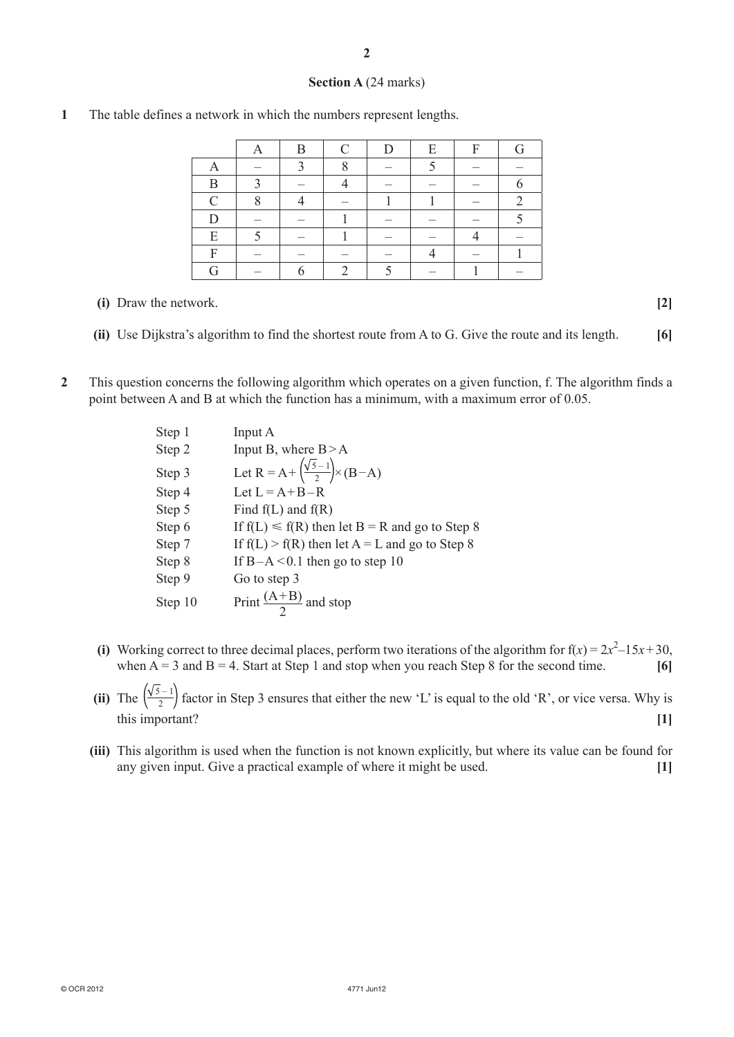#### **Section A** (24 marks)

|               | Α        | B            | $\mathcal{C}$     | D | E | E | G |
|---------------|----------|--------------|-------------------|---|---|---|---|
| А             |          | $\mathbf{r}$ | $\mathsf{\Omega}$ |   | ┍ |   |   |
| B             |          |              |                   |   |   |   |   |
| $\mathcal{C}$ | $\Omega$ |              |                   |   |   |   |   |
| D             |          |              |                   |   |   |   |   |
| E             |          |              |                   |   |   |   |   |
| Е             |          |              |                   |   |   |   |   |
| G             |          | 6            |                   |   |   |   |   |

**1** The table defines a network in which the numbers represent lengths.

- **(i)** Draw the network. **[2]**
- **(ii)** Use Dijkstra's algorithm to find the shortest route from A to G. Give the route and its length. **[6]**
- **2** This question concerns the following algorithm which operates on a given function, f. The algorithm finds a point between A and B at which the function has a minimum, with a maximum error of 0.05.

| Input A                                                 |
|---------------------------------------------------------|
| Input B, where $B > A$                                  |
| Let R = A + $\left(\frac{\sqrt{5}-1}{2}\right)$ × (B-A) |
| Let $L = A + B - R$                                     |
| Find $f(L)$ and $f(R)$                                  |
| If $f(L) \le f(R)$ then let $B = R$ and go to Step 8    |
| If $f(L) > f(R)$ then let $A = L$ and go to Step 8      |
| If $B-A < 0.1$ then go to step 10                       |
| Go to step 3                                            |
| Print $\frac{(A+B)}{2}$ and stop                        |
|                                                         |

- (i) Working correct to three decimal places, perform two iterations of the algorithm for  $f(x) = 2x^2 15x + 30$ , when  $A = 3$  and  $B = 4$ . Start at Step 1 and stop when you reach Step 8 for the second time. **[6]**
- (ii) The  $\left(\frac{\sqrt{5}-1}{2}\right)$  factor in Step 3 ensures that either the new 'L' is equal to the old 'R', or vice versa. Why is this important? **[1]**
- **(iii)** This algorithm is used when the function is not known explicitly, but where its value can be found for any given input. Give a practical example of where it might be used. **[1]**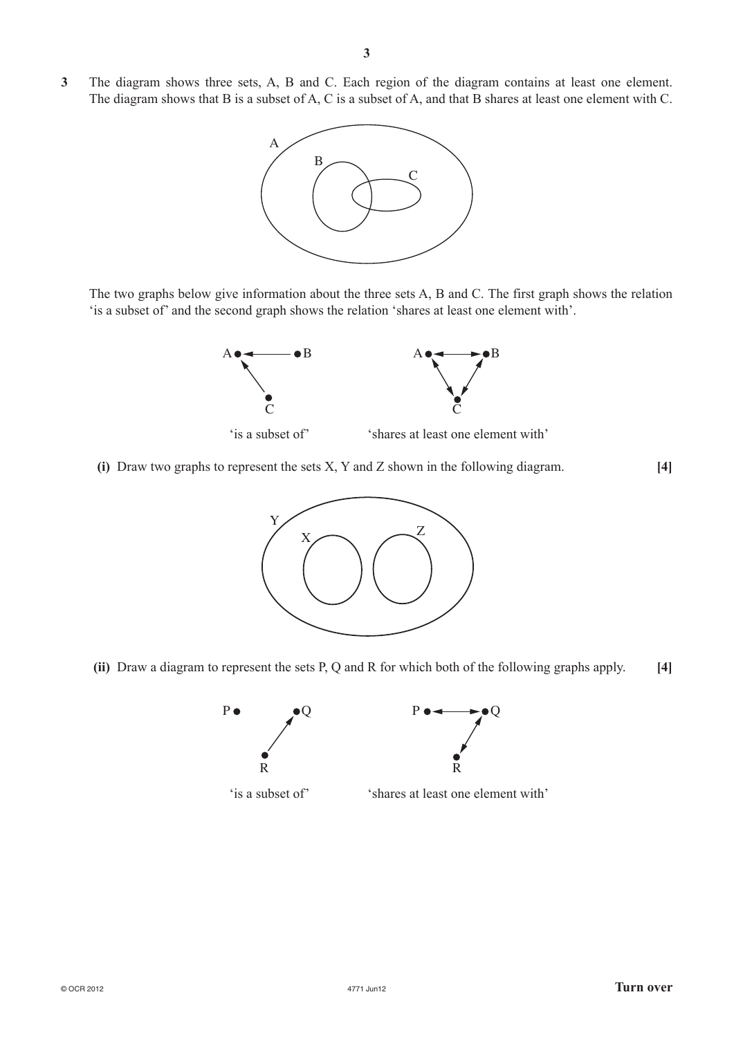**3** The diagram shows three sets, A, B and C. Each region of the diagram contains at least one element. The diagram shows that B is a subset of A, C is a subset of A, and that B shares at least one element with C.



The two graphs below give information about the three sets A, B and C. The first graph shows the relation 'is a subset of' and the second graph shows the relation 'shares at least one element with'.



**(i)** Draw two graphs to represent the sets X, Y and Z shown in the following diagram. **[4]**



**(ii)** Draw a diagram to represent the sets P, Q and R for which both of the following graphs apply. **[4]**





'is a subset of' 'shares at least one element with'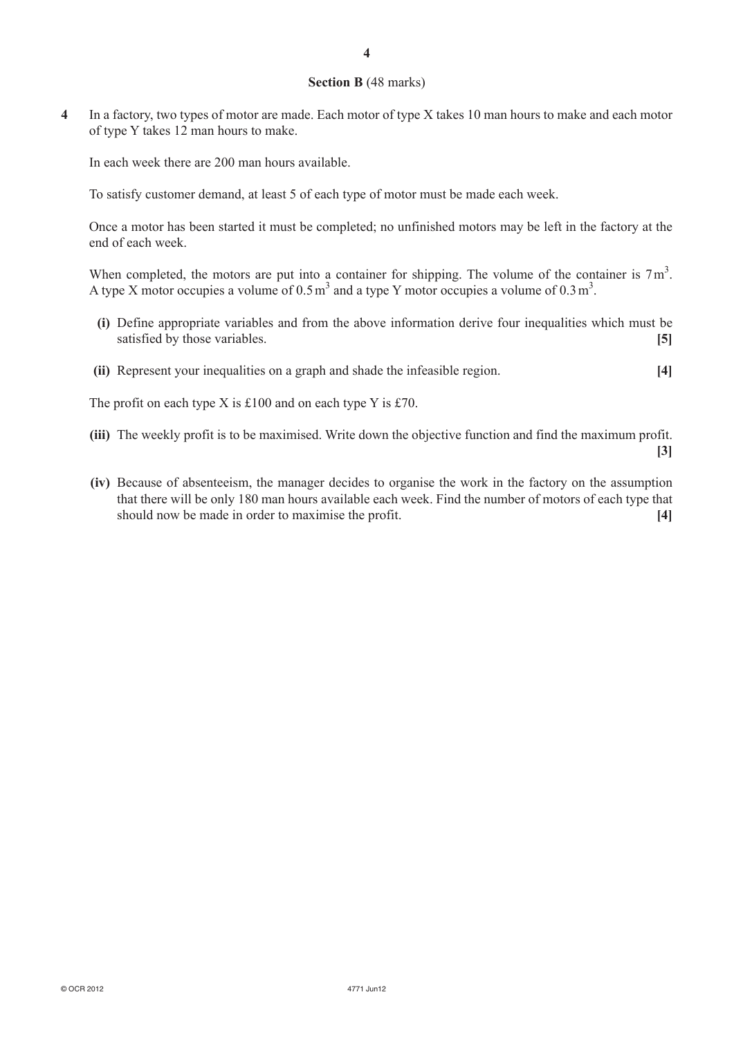#### **Section B** (48 marks)

**4** In a factory, two types of motor are made. Each motor of type X takes 10 man hours to make and each motor of type Y takes 12 man hours to make.

In each week there are 200 man hours available.

To satisfy customer demand, at least 5 of each type of motor must be made each week.

Once a motor has been started it must be completed; no unfinished motors may be left in the factory at the end of each week.

When completed, the motors are put into a container for shipping. The volume of the container is  $7 \text{ m}^3$ . A type X motor occupies a volume of  $0.5 \text{ m}^3$  and a type Y motor occupies a volume of  $0.3 \text{ m}^3$ .

- **(i)** Define appropriate variables and from the above information derive four inequalities which must be satisfied by those variables. **[5]**
- **(ii)** Represent your inequalities on a graph and shade the infeasible region. **[4]**

The profit on each type X is £100 and on each type Y is £70.

- **(iii)** The weekly profit is to be maximised. Write down the objective function and find the maximum profit. **[3]**
- **(iv)** Because of absenteeism, the manager decides to organise the work in the factory on the assumption that there will be only 180 man hours available each week. Find the number of motors of each type that should now be made in order to maximise the profit. **[4]**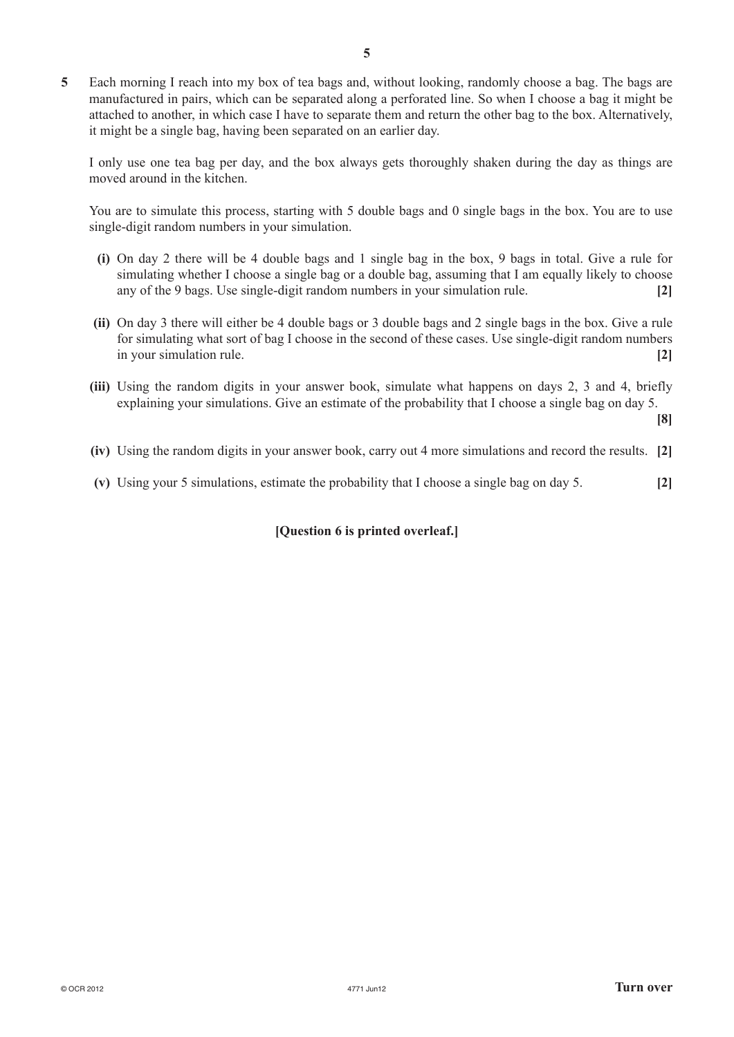**5** Each morning I reach into my box of tea bags and, without looking, randomly choose a bag. The bags are manufactured in pairs, which can be separated along a perforated line. So when I choose a bag it might be attached to another, in which case I have to separate them and return the other bag to the box. Alternatively, it might be a single bag, having been separated on an earlier day.

I only use one tea bag per day, and the box always gets thoroughly shaken during the day as things are moved around in the kitchen.

You are to simulate this process, starting with 5 double bags and 0 single bags in the box. You are to use single-digit random numbers in your simulation.

- **(i)** On day 2 there will be 4 double bags and 1 single bag in the box, 9 bags in total. Give a rule for simulating whether I choose a single bag or a double bag, assuming that I am equally likely to choose any of the 9 bags. Use single-digit random numbers in your simulation rule. **[2]**
- **(ii)** On day 3 there will either be 4 double bags or 3 double bags and 2 single bags in the box. Give a rule for simulating what sort of bag I choose in the second of these cases. Use single-digit random numbers in your simulation rule. **[2]**
- **(iii)** Using the random digits in your answer book, simulate what happens on days 2, 3 and 4, briefly explaining your simulations. Give an estimate of the probability that I choose a single bag on day 5.

**[8]**

- **(iv)** Using the random digits in your answer book, carry out 4 more simulations and record the results. **[2]**
- **(v)** Using your 5 simulations, estimate the probability that I choose a single bag on day 5. **[2]**

#### **[Question 6 is printed overleaf.]**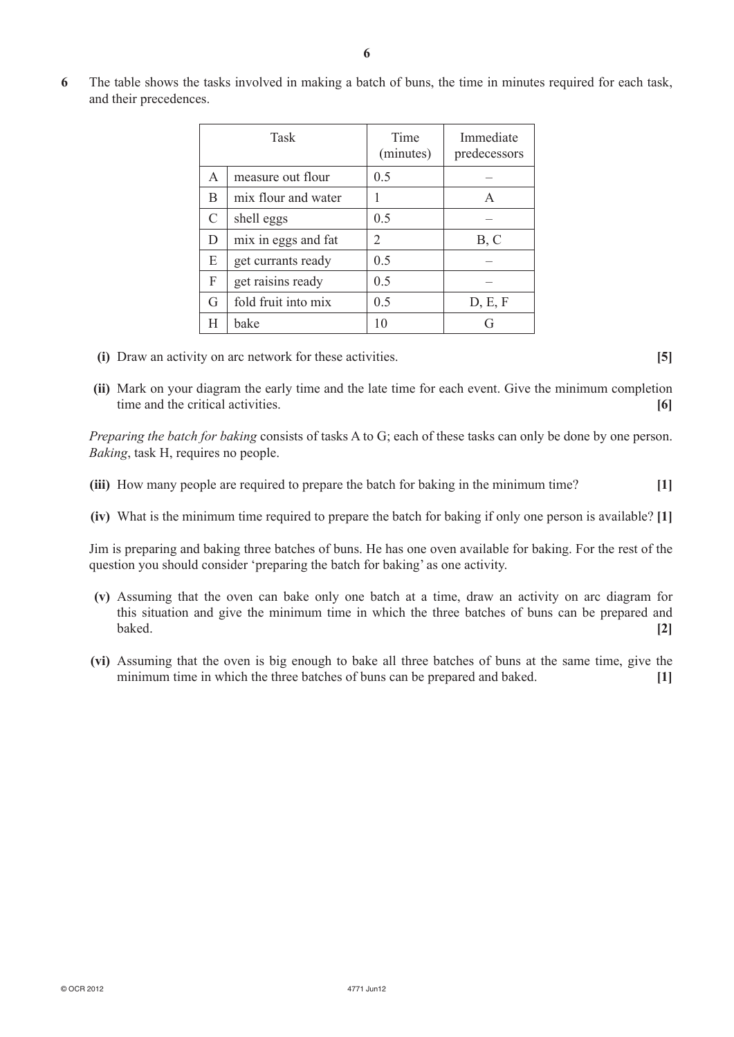|               | Task                | Time<br>(minutes) | Immediate<br>predecessors |
|---------------|---------------------|-------------------|---------------------------|
| A             | measure out flour   | 0.5               |                           |
| B             | mix flour and water | 1                 | A                         |
| $\mathcal{C}$ | shell eggs          | 0.5               |                           |
| D             | mix in eggs and fat | 2                 | B, C                      |
| E             | get currants ready  | 0.5               |                           |
| F             | get raisins ready   | 0.5               |                           |
| G             | fold fruit into mix | 0.5               | D, E, F                   |
| H             | bake                | 10                |                           |

**6** The table shows the tasks involved in making a batch of buns, the time in minutes required for each task, and their precedences.

- **(i)** Draw an activity on arc network for these activities. **[5]**
- **(ii)** Mark on your diagram the early time and the late time for each event. Give the minimum completion time and the critical activities. **[6]**

*Preparing the batch for baking* consists of tasks A to G; each of these tasks can only be done by one person. *Baking*, task H, requires no people.

- **(iii)** How many people are required to prepare the batch for baking in the minimum time? **[1]**
- **(iv)** What is the minimum time required to prepare the batch for baking if only one person is available? **[1]**

Jim is preparing and baking three batches of buns. He has one oven available for baking. For the rest of the question you should consider 'preparing the batch for baking' as one activity.

- **(v)** Assuming that the oven can bake only one batch at a time, draw an activity on arc diagram for this situation and give the minimum time in which the three batches of buns can be prepared and baked. **[2]**
- **(vi)** Assuming that the oven is big enough to bake all three batches of buns at the same time, give the minimum time in which the three batches of buns can be prepared and baked. **[1]**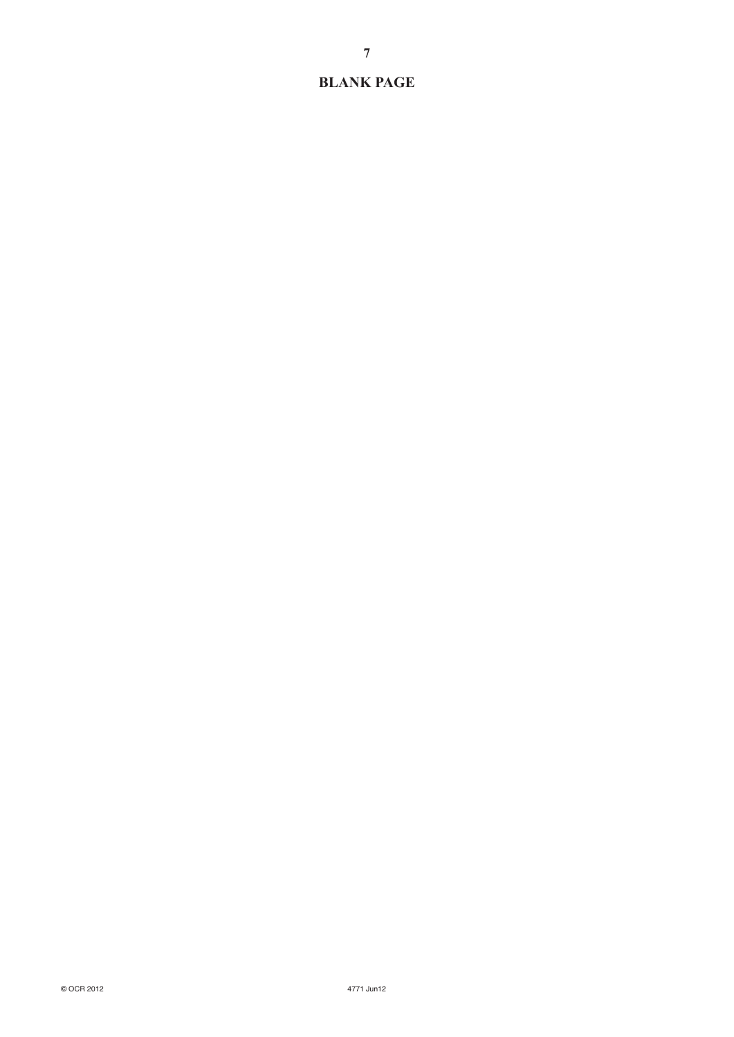## **BLANK PAGE**